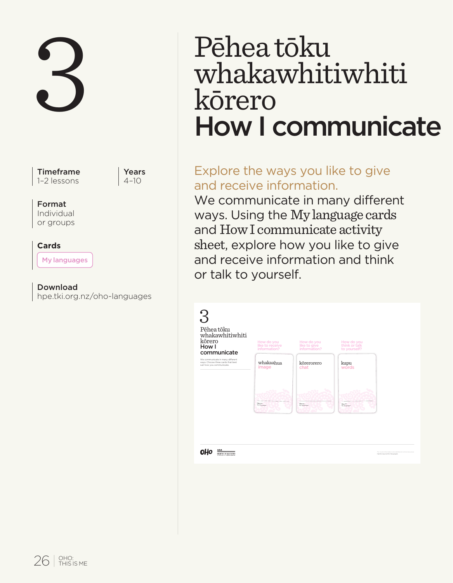Timeframe 1–2 lessons

Years  $4 - 10$ 

#### Format

Individual or groups

#### **Cards**

My languages

Download hpe.tki.org.nz/oho-languages

# 3 Pēhea tōku<br>Whakawhit:<br>kōrero<br>How I comr whakawhitiwhiti kōrero How I communicate

# Explore the ways you like to give and receive information.

We communicate in many different ways. Using the My language cards and How I communicate activity sheet, explore how you like to give and receive information and think or talk to yourself.

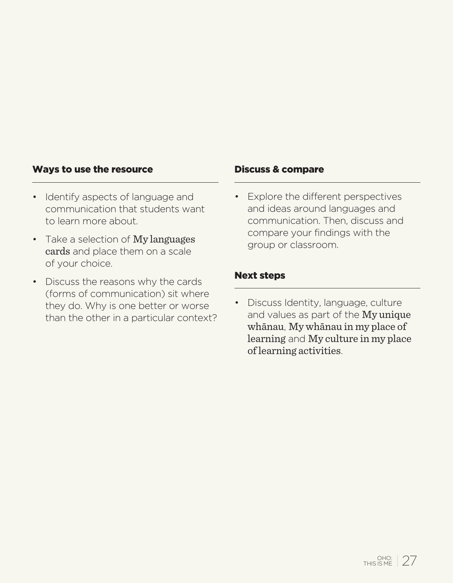#### Ways to use the resource

- Identify aspects of language and communication that students want to learn more about.
- Take a selection of My languages cards and place them on a scale of your choice.
- Discuss the reasons why the cards (forms of communication) sit where they do. Why is one better or worse than the other in a particular context?

#### Discuss & compare

• Explore the different perspectives and ideas around languages and communication. Then, discuss and compare your findings with the group or classroom.

#### Next steps

• Discuss Identity, language, culture and values as part of the My unique whānau, My whānau in my place of learning and My culture in my place of learning activities.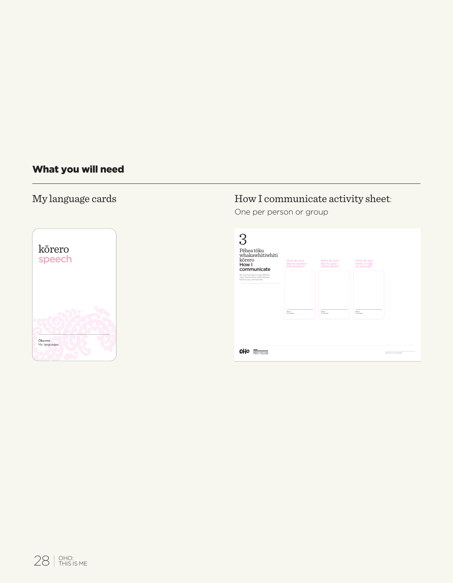# What you will need

# My language cards



# How I communicate activity sheet:

One per person or group

| Pēhea töku<br>whakawhitiwhiti<br>körero<br>How I<br>communicate<br>the communicate in many different.<br>who, Choose freee cards that best | How do you<br>like to receive<br>information? | How do you<br>like to give<br>information? | How do you<br>think or talk<br>to yourself? |                                                                                 |
|--------------------------------------------------------------------------------------------------------------------------------------------|-----------------------------------------------|--------------------------------------------|---------------------------------------------|---------------------------------------------------------------------------------|
| sult have you communicate.                                                                                                                 | from                                          | <b>Boxes</b><br><b>Witness</b>             | from                                        |                                                                                 |
| <br>1000000000000000<br><b>NATIV OF GUINNIE</b>                                                                                            |                                               |                                            |                                             | For more information and address at information on<br>headquarters/she arranged |